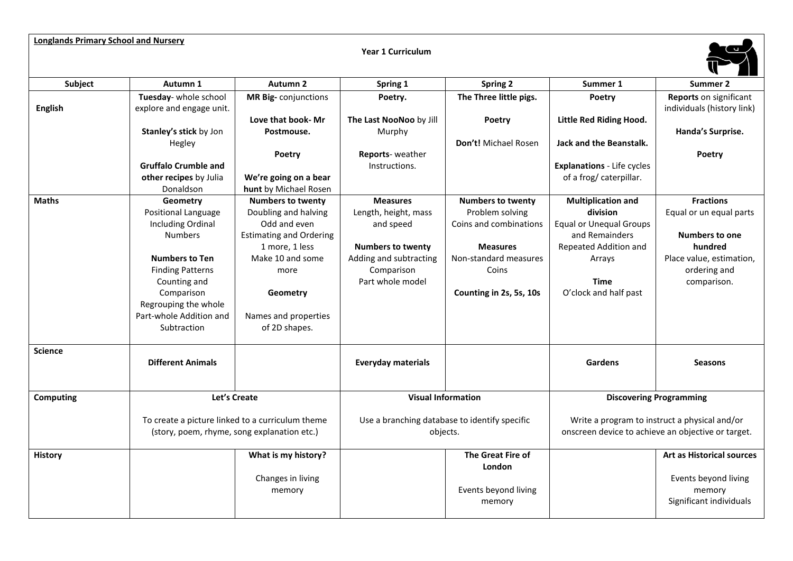## **Longlands Primary School and Nursery Year 1 Curriculum Subject Autumn 1 Autumn 2 Spring 1 Spring 2 Summer 1 Summer 2 English Tuesday**- whole school explore and engage unit. **Stanley's stick** by Jon Hegley **Gruffalo Crumble and other recipes** by Julia Donaldson **MR Big-** conjunctions **Love that book- Mr Postmouse. Poetry We're going on a bear hunt** by Michael Rosen **Poetry. The Last NooNoo** by Jill Murphy **Reports**- weather Instructions. **The Three little pigs. Poetry Don't!** Michael Rosen **Poetry Little Red Riding Hood. Jack and the Beanstalk. Explanations** - Life cycles of a frog/ caterpillar. **Reports** on significant individuals (history link) **Handa's Surprise. Poetry Maths Geometry** Positional Language Including Ordinal Numbers **Numbers to Ten** Finding Patterns Counting and Comparison Regrouping the whole Part-whole Addition and Subtraction **Numbers to twenty** Doubling and halving Odd and even Estimating and Ordering 1 more, 1 less Make 10 and some more **Geometry** Names and properties of 2D shapes. **Measures** Length, height, mass and speed **Numbers to twenty** Adding and subtracting Comparison Part whole model **Numbers to twenty** Problem solving Coins and combinations **Measures** Non-standard measures Coins **Counting in 2s, 5s, 10s Multiplication and division** Equal or Unequal Groups and Remainders Repeated Addition and Arrays **Time** O'clock and half past **Fractions** Equal or un equal parts **Numbers to one hundred** Place value, estimation, ordering and comparison. **Science Different Animals Everyday materials Gardens Seasons Computing Let's Create** To create a picture linked to a curriculum theme (story, poem, rhyme, song explanation etc.) **Visual Information** Use a branching database to identify specific objects. **Discovering Programming** Write a program to instruct a physical and/or onscreen device to achieve an objective or target. **History What is my history?** Changes in living memory **The Great Fire of London** Events beyond living memory **Art as Historical sources** Events beyond living memory Significant individuals